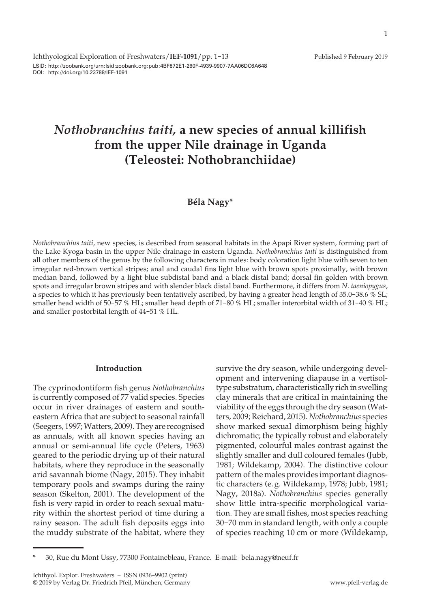Ichthyological Exploration of Freshwaters/**IEF-1091**/pp. 1-13 Published 9 February 2019 LSID: http://zoobank.org/urn:lsid:zoobank.org:pub:4BF872E1-260F-4939-9907-7AA06DC6A648 DOI: http://doi.org/10.23788/IEF-1091

# *Nothobranchius taiti,* **a new species of annual killifish from the upper Nile drainage in Uganda (Teleostei: Nothobranchiidae)**

### **Béla Nagy**\*

*Nothobranchius taiti*, new species, is described from seasonal habitats in the Apapi River system, forming part of the Lake Kyoga basin in the upper Nile drainage in eastern Uganda. *Nothobranchius taiti* is distinguished from all other members of the genus by the following characters in males: body coloration light blue with seven to ten irregular red-brown vertical stripes; anal and caudal fins light blue with brown spots proximally, with brown median band, followed by a light blue subdistal band and a black distal band; dorsal fin golden with brown spots and irregular brown stripes and with slender black distal band. Furthermore, it differs from *N. taeniopygus*, a species to which it has previously been tentatively ascribed, by having a greater head length of 35.0-38.6 % SL; smaller head width of 50-57 % HL; smaller head depth of 71-80 % HL; smaller interorbital width of 31-40 % HL; and smaller postorbital length of 44-51 % HL.

#### **Introduction**

The cyprinodontiform fish genus *Nothobranchius* is currently composed of 77 valid species. Species occur in river drainages of eastern and southeastern Africa that are subject to seasonal rainfall (Seegers, 1997; Watters, 2009). They are recognised as annuals, with all known species having an annual or semi-annual life cycle (Peters, 1963) geared to the periodic drying up of their natural habitats, where they reproduce in the seasonally arid savannah biome (Nagy, 2015). They inhabit temporary pools and swamps during the rainy season (Skelton, 2001). The development of the fish is very rapid in order to reach sexual maturity within the shortest period of time during a rainy season. The adult fish deposits eggs into the muddy substrate of the habitat, where they

survive the dry season, while undergoing development and intervening diapause in a vertisoltype substratum, characteristically rich in swelling clay minerals that are critical in maintaining the viability of the eggs through the dry season (Watters, 2009; Reichard, 2015). *Nothobranchius* species show marked sexual dimorphism being highly dichromatic; the typically robust and elaborately pigmented, colourful males contrast against the slightly smaller and dull coloured females (Jubb, 1981; Wildekamp, 2004). The distinctive colour pattern of the males provides important diagnostic characters (e.g. Wildekamp, 1978; Jubb, 1981; Nagy, 2018a). *Nothobranchius* species generally show little intra-specific morphological variation. They are small fishes, most species reaching 30-70 mm in standard length, with only a couple of species reaching 10 cm or more (Wildekamp,

<sup>30,</sup> Rue du Mont Ussy, 77300 Fontainebleau, France. E-mail: bela.nagy@neuf.fr